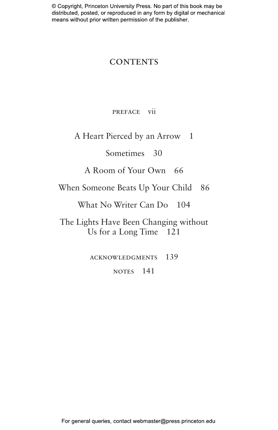## **CONTENTS**

preface vii

A Heart Pierced by an Arrow 1

Sometimes 30

A Room of Your Own 66

When Someone Beats Up Your Child 86

What No Writer Can Do 104

The Lights Have Been Changing without Us for a Long Time 121

acknowledgments 139

notes 141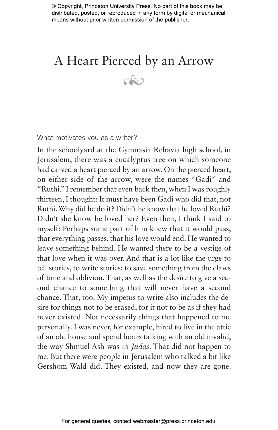# A Heart Pierced by an Arrow

 $\triangle$ 

What motivates you as a writer?

In the schoolyard at the Gymnasia Rehavia high school, in Jerusalem, there was a eucalyptus tree on which someone had carved a heart pierced by an arrow. On the pierced heart, on either side of the arrow, were the names "Gadi" and "Ruthi." I remember that even back then, when I was roughly thirteen, I thought: It must have been Gadi who did that, not Ruthi. Why did he do it? Didn't he know that he loved Ruthi? Didn't she know he loved her? Even then, I think I said to myself: Perhaps some part of him knew that it would pass, that everything passes, that his love would end. He wanted to leave something behind. He wanted there to be a vestige of that love when it was over. And that is a lot like the urge to tell stories, to write stories: to save something from the claws of time and oblivion. That, as well as the desire to give a second chance to something that will never have a second chance. That, too. My impetus to write also includes the desire for things not to be erased, for it not to be as if they had never existed. Not necessarily things that happened to me personally. I was never, for example, hired to live in the attic of an old house and spend hours talking with an old invalid, the way Shmuel Ash was in *Judas*. That did not happen to me. But there were people in Jerusalem who talked a bit like Gershom Wald did. They existed, and now they are gone.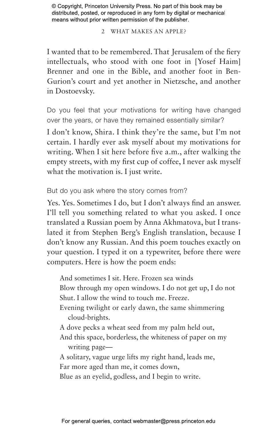2 WHAT MAKES AN APPLE?

I wanted that to be remembered. That Jerusalem of the fiery intellectuals, who stood with one foot in [Yosef Haim] Brenner and one in the Bible, and another foot in Ben-Gurion's court and yet another in Nietzsche, and another in Dostoevsky.

Do you feel that your motivations for writing have changed over the years, or have they remained essentially similar?

I don't know, Shira. I think they're the same, but I'm not certain. I hardly ever ask myself about my motivations for writing. When I sit here before five a.m., after walking the empty streets, with my first cup of coffee, I never ask myself what the motivation is. I just write.

But do you ask where the story comes from?

Yes. Yes. Sometimes I do, but I don't always find an answer. I'll tell you something related to what you asked. I once translated a Russian poem by Anna Akhmatova, but I translated it from Stephen Berg's English translation, because I don't know any Russian. And this poem touches exactly on your question. I typed it on a typewriter, before there were computers. Here is how the poem ends:

And sometimes I sit. Here. Frozen sea winds Blow through my open windows. I do not get up, I do not Shut. I allow the wind to touch me. Freeze. Evening twilight or early dawn, the same shimmering cloud-brights. A dove pecks a wheat seed from my palm held out, And this space, borderless, the whiteness of paper on my writing page— A solitary, vague urge lifts my right hand, leads me, Far more aged than me, it comes down,

Blue as an eyelid, godless, and I begin to write.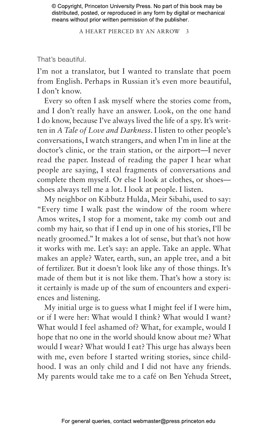A Heart Pierced by an Arrow 3

That's beautiful.

I'm not a translator, but I wanted to translate that poem from English. Perhaps in Russian it's even more beautiful, I don't know.

Every so often I ask myself where the stories come from, and I don't really have an answer. Look, on the one hand I do know, because I've always lived the life of a spy. It's written in *A Tale of Love and Darkness*. I listen to other people's conversations, I watch strangers, and when I'm in line at the doctor's clinic, or the train station, or the airport—I never read the paper. Instead of reading the paper I hear what people are saying, I steal fragments of conversations and complete them myself. Or else I look at clothes, or shoes shoes always tell me a lot. I look at people. I listen.

My neighbor on Kibbutz Hulda, Meir Sibahi, used to say: "Every time I walk past the window of the room where Amos writes, I stop for a moment, take my comb out and comb my hair, so that if I end up in one of his stories, I'll be neatly groomed." It makes a lot of sense, but that's not how it works with me. Let's say: an apple. Take an apple. What makes an apple? Water, earth, sun, an apple tree, and a bit of fertilizer. But it doesn't look like any of those things. It's made of them but it is not like them. That's how a story is: it certainly is made up of the sum of encounters and experiences and listening.

My initial urge is to guess what I might feel if I were him, or if I were her: What would I think? What would I want? What would I feel ashamed of? What, for example, would I hope that no one in the world should know about me? What would I wear? What would I eat? This urge has always been with me, even before I started writing stories, since childhood. I was an only child and I did not have any friends. My parents would take me to a café on Ben Yehuda Street,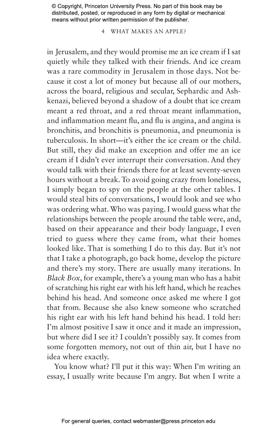4 WHAT MAKES AN APPLE?

in Jerusalem, and they would promise me an ice cream if I sat quietly while they talked with their friends. And ice cream was a rare commodity in Jerusalem in those days. Not because it cost a lot of money but because all of our mothers, across the board, religious and secular, Sephardic and Ashkenazi, believed beyond a shadow of a doubt that ice cream meant a red throat, and a red throat meant inflammation, and inflammation meant flu, and flu is angina, and angina is bronchitis, and bronchitis is pneumonia, and pneumonia is tuberculosis. In short—it's either the ice cream or the child. But still, they did make an exception and offer me an ice cream if I didn't ever interrupt their conversation. And they would talk with their friends there for at least seventy-seven hours without a break. To avoid going crazy from loneliness, I simply began to spy on the people at the other tables. I would steal bits of conversations, I would look and see who was ordering what. Who was paying. I would guess what the relationships between the people around the table were, and, based on their appearance and their body language, I even tried to guess where they came from, what their homes looked like. That is something I do to this day. But it's not that I take a photograph, go back home, develop the picture and there's my story. There are usually many iterations. In *Black Box*, for example, there's a young man who has a habit of scratching his right ear with his left hand, which he reaches behind his head. And someone once asked me where I got that from. Because she also knew someone who scratched his right ear with his left hand behind his head. I told her: I'm almost positive I saw it once and it made an impression, but where did I see it? I couldn't possibly say. It comes from some forgotten memory, not out of thin air, but I have no idea where exactly.

You know what? I'll put it this way: When I'm writing an essay, I usually write because I'm angry. But when I write a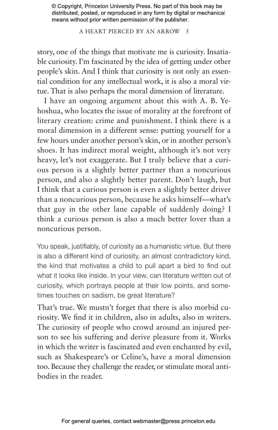A Heart Pierced by an Arrow 5

story, one of the things that motivate me is curiosity. Insatiable curiosity. I'm fascinated by the idea of getting under other people's skin. And I think that curiosity is not only an essential condition for any intellectual work, it is also a moral virtue. That is also perhaps the moral dimension of literature.

I have an ongoing argument about this with A. B. Yehoshua, who locates the issue of morality at the forefront of literary creation: crime and punishment. I think there is a moral dimension in a different sense: putting yourself for a few hours under another person's skin, or in another person's shoes. It has indirect moral weight, although it's not very heavy, let's not exaggerate. But I truly believe that a curious person is a slightly better partner than a noncurious person, and also a slightly better parent. Don't laugh, but I think that a curious person is even a slightly better driver than a noncurious person, because he asks himself—what's that guy in the other lane capable of suddenly doing? I think a curious person is also a much better lover than a noncurious person.

You speak, justifiably, of curiosity as a humanistic virtue. But there is also a different kind of curiosity, an almost contradictory kind, the kind that motivates a child to pull apart a bird to find out what it looks like inside. In your view, can literature written out of curiosity, which portrays people at their low points, and sometimes touches on sadism, be great literature?

That's true. We mustn't forget that there is also morbid curiosity. We find it in children, also in adults, also in writers. The curiosity of people who crowd around an injured person to see his suffering and derive pleasure from it. Works in which the writer is fascinated and even enchanted by evil, such as Shakespeare's or Celine's, have a moral dimension too. Because they challenge the reader, or stimulate moral antibodies in the reader.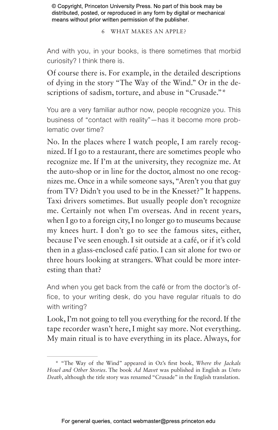6 WHAT MAKES AN APPLE?

And with you, in your books, is there sometimes that morbid curiosity? I think there is.

Of course there is. For example, in the detailed descriptions of dying in the story "The Way of the Wind." Or in the descriptions of sadism, torture, and abuse in "Crusade."\*

You are a very familiar author now, people recognize you. This business of "contact with reality"—has it become more problematic over time?

No. In the places where I watch people, I am rarely recognized. If I go to a restaurant, there are sometimes people who recognize me. If I'm at the university, they recognize me. At the auto-shop or in line for the doctor, almost no one recognizes me. Once in a while someone says, "Aren't you that guy from TV? Didn't you used to be in the Knesset?" It happens. Taxi drivers sometimes. But usually people don't recognize me. Certainly not when I'm overseas. And in recent years, when I go to a foreign city, I no longer go to museums because my knees hurt. I don't go to see the famous sites, either, because I've seen enough. I sit outside at a café, or if it's cold then in a glass-enclosed café patio. I can sit alone for two or three hours looking at strangers. What could be more interesting than that?

And when you get back from the café or from the doctor's office, to your writing desk, do you have regular rituals to do with writing?

Look, I'm not going to tell you everything for the record. If the tape recorder wasn't here, I might say more. Not everything. My main ritual is to have everything in its place. Always, for

<sup>\*</sup> "The Way of the Wind" appeared in Oz's first book, *Where the Jackals Howl and Other Stories*. The book *Ad Mavet* was published in English as *Unto Death*, although the title story was renamed "Crusade" in the English translation.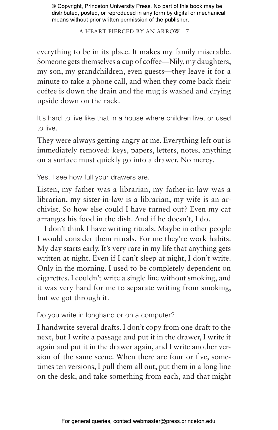A Heart Pierced by an Arrow 7

everything to be in its place. It makes my family miserable. Someone gets themselves a cup of coffee—Nily, my daughters, my son, my grandchildren, even guests—they leave it for a minute to take a phone call, and when they come back their coffee is down the drain and the mug is washed and drying upside down on the rack.

It's hard to live like that in a house where children live, or used to live.

They were always getting angry at me. Everything left out is immediately removed: keys, papers, letters, notes, anything on a surface must quickly go into a drawer. No mercy.

Yes, I see how full your drawers are.

Listen, my father was a librarian, my father-in-law was a librarian, my sister-in-law is a librarian, my wife is an archivist. So how else could I have turned out? Even my cat arranges his food in the dish. And if he doesn't, I do.

I don't think I have writing rituals. Maybe in other people I would consider them rituals. For me they're work habits. My day starts early. It's very rare in my life that anything gets written at night. Even if I can't sleep at night, I don't write. Only in the morning. I used to be completely dependent on cigarettes. I couldn't write a single line without smoking, and it was very hard for me to separate writing from smoking, but we got through it.

Do you write in longhand or on a computer?

I handwrite several drafts. I don't copy from one draft to the next, but I write a passage and put it in the drawer, I write it again and put it in the drawer again, and I write another version of the same scene. When there are four or five, sometimes ten versions, I pull them all out, put them in a long line on the desk, and take something from each, and that might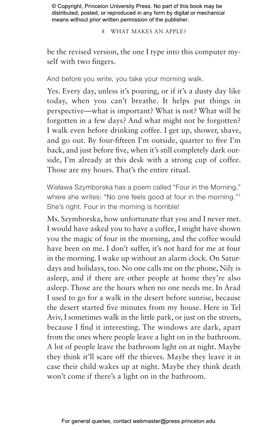8 WHAT MAKES AN APPLE?

be the revised version, the one I type into this computer myself with two fingers.

And before you write, you take your morning walk.

Yes. Every day, unless it's pouring, or if it's a dusty day like today, when you can't breathe. It helps put things in perspective—what is important? What is not? What will be forgotten in a few days? And what might not be forgotten? I walk even before drinking coffee. I get up, shower, shave, and go out. By four-fifteen I'm outside, quarter to five I'm back, and just before five, when it's still completely dark outside, I'm already at this desk with a strong cup of coffee. Those are my hours. That's the entire ritual.

Wisława Szymborska has a poem called "Four in the Morning," where she writes: "No one feels good at four in the morning."<sup>1</sup> She's right. Four in the morning is horrible!

Ms. Szymborska, how unfortunate that you and I never met. I would have asked you to have a coffee, I might have shown you the magic of four in the morning, and the coffee would have been on me. I don't suffer, it's not hard for me at four in the morning. I wake up without an alarm clock. On Saturdays and holidays, too. No one calls me on the phone, Nily is asleep, and if there are other people at home they're also asleep. Those are the hours when no one needs me. In Arad I used to go for a walk in the desert before sunrise, because the desert started five minutes from my house. Here in Tel Aviv, I sometimes walk in the little park, or just on the streets, because I find it interesting. The windows are dark, apart from the ones where people leave a light on in the bathroom. A lot of people leave the bathroom light on at night. Maybe they think it'll scare off the thieves. Maybe they leave it in case their child wakes up at night. Maybe they think death won't come if there's a light on in the bathroom.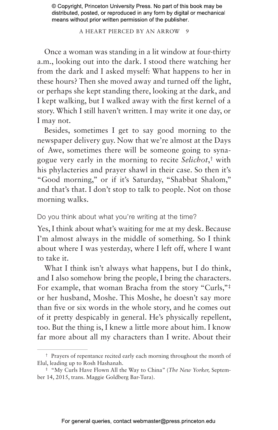#### A Heart Pierced by an Arrow 9

Once a woman was standing in a lit window at four-thirty a.m., looking out into the dark. I stood there watching her from the dark and I asked myself: What happens to her in these hours? Then she moved away and turned off the light, or perhaps she kept standing there, looking at the dark, and I kept walking, but I walked away with the first kernel of a story. Which I still haven't written. I may write it one day, or I may not.

Besides, sometimes I get to say good morning to the newspaper delivery guy. Now that we're almost at the Days of Awe, sometimes there will be someone going to synagogue very early in the morning to recite *Selichot*, † with his phylacteries and prayer shawl in their case. So then it's "Good morning," or if it's Saturday, "Shabbat Shalom," and that's that. I don't stop to talk to people. Not on those morning walks.

Do you think about what you're writing at the time?

Yes, I think about what's waiting for me at my desk. Because I'm almost always in the middle of something. So I think about where I was yesterday, where I left off, where I want to take it.

What I think isn't always what happens, but I do think, and I also somehow bring the people, I bring the characters. For example, that woman Bracha from the story "Curls,"‡ or her husband, Moshe. This Moshe, he doesn't say more than five or six words in the whole story, and he comes out of it pretty despicably in general. He's physically repellent, too. But the thing is, I knew a little more about him. I know far more about all my characters than I write. About their

<sup>†</sup> Prayers of repentance recited early each morning throughout the month of Elul, leading up to Rosh Hashanah.

<sup>‡</sup> "My Curls Have Flown All the Way to China" (*The New Yorker,* September 14, 2015, trans. Maggie Goldberg Bar-Tura).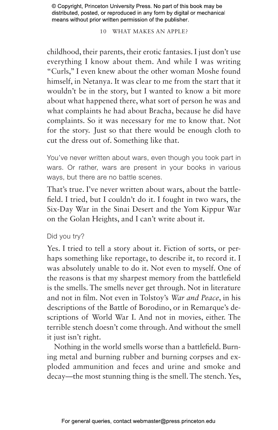### 10 WHAT MAKES AN APPLE?

childhood, their parents, their erotic fantasies. I just don't use everything I know about them. And while I was writing "Curls," I even knew about the other woman Moshe found himself, in Netanya. It was clear to me from the start that it wouldn't be in the story, but I wanted to know a bit more about what happened there, what sort of person he was and what complaints he had about Bracha, because he did have complaints. So it was necessary for me to know that. Not for the story. Just so that there would be enough cloth to cut the dress out of. Something like that.

You've never written about wars, even though you took part in wars. Or rather, wars are present in your books in various ways, but there are no battle scenes.

That's true. I've never written about wars, about the battlefield. I tried, but I couldn't do it. I fought in two wars, the Six-Day War in the Sinai Desert and the Yom Kippur War on the Golan Heights, and I can't write about it.

## Did you try?

Yes. I tried to tell a story about it. Fiction of sorts, or perhaps something like reportage, to describe it, to record it. I was absolutely unable to do it. Not even to myself. One of the reasons is that my sharpest memory from the battlefield is the smells. The smells never get through. Not in literature and not in film. Not even in Tolstoy's *War and Peace*, in his descriptions of the Battle of Borodino, or in Remarque's descriptions of World War I. And not in movies, either. The terrible stench doesn't come through. And without the smell it just isn't right.

Nothing in the world smells worse than a battlefield. Burning metal and burning rubber and burning corpses and exploded ammunition and feces and urine and smoke and decay—the most stunning thing is the smell. The stench. Yes,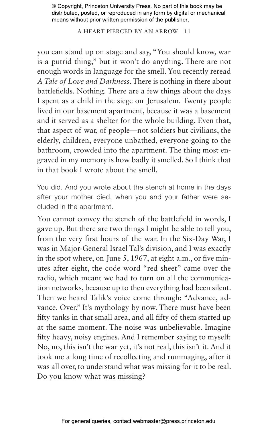#### A Heart Pierced by an Arrow 11

you can stand up on stage and say, "You should know, war is a putrid thing," but it won't do anything. There are not enough words in language for the smell. You recently reread *A Tale of Love and Darkness*. There is nothing in there about battlefields. Nothing. There are a few things about the days I spent as a child in the siege on Jerusalem. Twenty people lived in our basement apartment, because it was a basement and it served as a shelter for the whole building. Even that, that aspect of war, of people—not soldiers but civilians, the elderly, children, everyone unbathed, everyone going to the bathroom, crowded into the apartment. The thing most engraved in my memory is how badly it smelled. So I think that in that book I wrote about the smell.

You did. And you wrote about the stench at home in the days after your mother died, when you and your father were secluded in the apartment.

You cannot convey the stench of the battlefield in words, I gave up. But there are two things I might be able to tell you, from the very first hours of the war. In the Six-Day War, I was in Major-General Israel Tal's division, and I was exactly in the spot where, on June 5, 1967, at eight a.m., or five minutes after eight, the code word "red sheet" came over the radio, which meant we had to turn on all the communication networks, because up to then everything had been silent. Then we heard Talik's voice come through: "Advance, advance. Over." It's mythology by now. There must have been fifty tanks in that small area, and all fifty of them started up at the same moment. The noise was unbelievable. Imagine fifty heavy, noisy engines. And I remember saying to myself: No, no, this isn't the war yet, it's not real, this isn't it. And it took me a long time of recollecting and rummaging, after it was all over, to understand what was missing for it to be real. Do you know what was missing?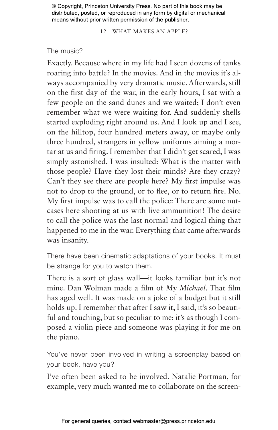12 WHAT MAKES AN APPLE?

## The music?

Exactly. Because where in my life had I seen dozens of tanks roaring into battle? In the movies. And in the movies it's always accompanied by very dramatic music. Afterwards, still on the first day of the war, in the early hours, I sat with a few people on the sand dunes and we waited; I don't even remember what we were waiting for. And suddenly shells started exploding right around us. And I look up and I see, on the hilltop, four hundred meters away, or maybe only three hundred, strangers in yellow uniforms aiming a mortar at us and firing. I remember that I didn't get scared, I was simply astonished. I was insulted: What is the matter with those people? Have they lost their minds? Are they crazy? Can't they see there are people here? My first impulse was not to drop to the ground, or to flee, or to return fire. No. My first impulse was to call the police: There are some nutcases here shooting at us with live ammunition! The desire to call the police was the last normal and logical thing that happened to me in the war. Everything that came afterwards was insanity.

There have been cinematic adaptations of your books. It must be strange for you to watch them.

There is a sort of glass wall—it looks familiar but it's not mine. Dan Wolman made a film of *My Michael*. That film has aged well. It was made on a joke of a budget but it still holds up. I remember that after I saw it, I said, it's so beautiful and touching, but so peculiar to me: it's as though I composed a violin piece and someone was playing it for me on the piano.

You've never been involved in writing a screenplay based on your book, have you?

I've often been asked to be involved. Natalie Portman, for example, very much wanted me to collaborate on the screen-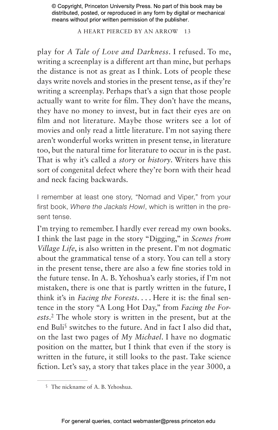A Heart Pierced by an Arrow 13

play for *A Tale of Love and Darkness*. I refused. To me, writing a screenplay is a different art than mine, but perhaps the distance is not as great as I think. Lots of people these days write novels and stories in the present tense, as if they're writing a screenplay. Perhaps that's a sign that those people actually want to write for film. They don't have the means, they have no money to invest, but in fact their eyes are on film and not literature. Maybe those writers see a lot of movies and only read a little literature. I'm not saying there aren't wonderful works written in present tense, in literature too, but the natural time for literature to occur in is the past. That is why it's called a *story* or *history*. Writers have this sort of congenital defect where they're born with their head and neck facing backwards.

I remember at least one story, "Nomad and Viper," from your first book, *Where the Jackals Howl*, which is written in the present tense.

I'm trying to remember. I hardly ever reread my own books. I think the last page in the story "Digging," in *Scenes from Village Life*, is also written in the present. I'm not dogmatic about the grammatical tense of a story. You can tell a story in the present tense, there are also a few fine stories told in the future tense. In A. B. Yehoshua's early stories, if I'm not mistaken, there is one that is partly written in the future, I think it's in *Facing the Forests*. . . . Here it is: the final sentence in the story "A Long Hot Day," from *Facing the Forests*. 2 The whole story is written in the present, but at the end Buli§ switches to the future. And in fact I also did that, on the last two pages of *My Michael*. I have no dogmatic position on the matter, but I think that even if the story is written in the future, it still looks to the past. Take science fiction. Let's say, a story that takes place in the year 3000, a

<sup>§</sup> The nickname of A. B. Yehoshua.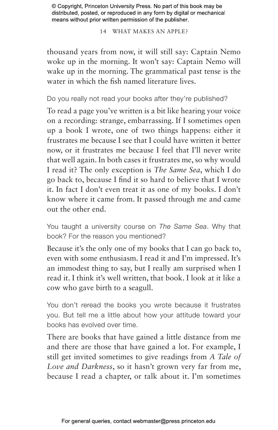14 WHAT MAKES AN APPLE?

thousand years from now, it will still say: Captain Nemo woke up in the morning. It won't say: Captain Nemo will wake up in the morning. The grammatical past tense is the water in which the fish named literature lives.

Do you really not read your books after they're published?

To read a page you've written is a bit like hearing your voice on a recording: strange, embarrassing. If I sometimes open up a book I wrote, one of two things happens: either it frustrates me because I see that I could have written it better now, or it frustrates me because I feel that I'll never write that well again. In both cases it frustrates me, so why would I read it? The only exception is *The Same Sea*, which I do go back to, because I find it so hard to believe that I wrote it. In fact I don't even treat it as one of my books. I don't know where it came from. It passed through me and came out the other end.

You taught a university course on *The Same Sea*. Why that book? For the reason you mentioned?

Because it's the only one of my books that I can go back to, even with some enthusiasm. I read it and I'm impressed. It's an immodest thing to say, but I really am surprised when I read it. I think it's well written, that book. I look at it like a cow who gave birth to a seagull.

You don't reread the books you wrote because it frustrates you. But tell me a little about how your attitude toward your books has evolved over time.

There are books that have gained a little distance from me and there are those that have gained a lot. For example, I still get invited sometimes to give readings from *A Tale of Love and Darkness*, so it hasn't grown very far from me, because I read a chapter, or talk about it. I'm sometimes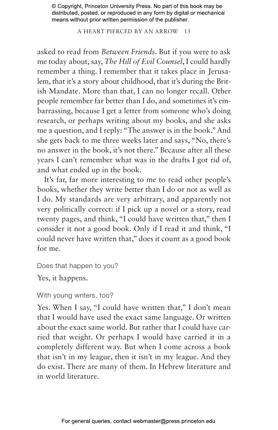A Heart Pierced by an Arrow 15

asked to read from *Between Friends*. But if you were to ask me today about, say, *The Hill of Evil Counsel*, I could hardly remember a thing. I remember that it takes place in Jerusalem, that it's a story about childhood, that it's during the British Mandate. More than that, I can no longer recall. Other people remember far better than I do, and sometimes it's embarrassing, because I get a letter from someone who's doing research, or perhaps writing about my books, and she asks me a question, and I reply: "The answer is in the book." And she gets back to me three weeks later and says, "No, there's no answer in the book, it's not there." Because after all these years I can't remember what was in the drafts I got rid of, and what ended up in the book.

It's far, far more interesting to me to read other people's books, whether they write better than I do or not as well as I do. My standards are very arbitrary, and apparently not very politically correct: if I pick up a novel or a story, read twenty pages, and think, "I could have written that," then I consider it not a good book. Only if I read it and think, "I could never have written that," does it count as a good book for me.

Does that happen to you?

Yes, it happens.

With young writers, too?

Yes. When I say, "I could have written that," I don't mean that I would have used the exact same language. Or written about the exact same world. But rather that I could have carried that weight. Or perhaps I would have carried it in a completely different way. But when I come across a book that isn't in my league, then it isn't in my league. And they do exist. There are many of them. In Hebrew literature and in world literature.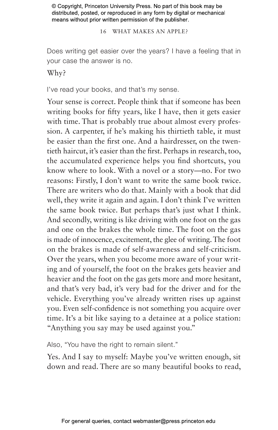16 WHAT MAKES AN APPLE?

Does writing get easier over the years? I have a feeling that in your case the answer is no.

Why?

I've read your books, and that's my sense.

Your sense is correct. People think that if someone has been writing books for fifty years, like I have, then it gets easier with time. That is probably true about almost every profession. A carpenter, if he's making his thirtieth table, it must be easier than the first one. And a hairdresser, on the twentieth haircut, it's easier than the first. Perhaps in research, too, the accumulated experience helps you find shortcuts, you know where to look. With a novel or a story—no. For two reasons: Firstly, I don't want to write the same book twice. There are writers who do that. Mainly with a book that did well, they write it again and again. I don't think I've written the same book twice. But perhaps that's just what I think. And secondly, writing is like driving with one foot on the gas and one on the brakes the whole time. The foot on the gas is made of innocence, excitement, the glee of writing. The foot on the brakes is made of self-awareness and self-criticism. Over the years, when you become more aware of your writing and of yourself, the foot on the brakes gets heavier and heavier and the foot on the gas gets more and more hesitant, and that's very bad, it's very bad for the driver and for the vehicle. Everything you've already written rises up against you. Even self-confidence is not something you acquire over time. It's a bit like saying to a detainee at a police station: "Anything you say may be used against you."

Also, "You have the right to remain silent."

Yes. And I say to myself: Maybe you've written enough, sit down and read. There are so many beautiful books to read,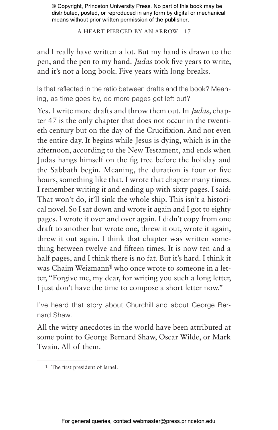A Heart Pierced by an Arrow 17

and I really have written a lot. But my hand is drawn to the pen, and the pen to my hand. *Judas* took five years to write, and it's not a long book. Five years with long breaks.

Is that reflected in the ratio between drafts and the book? Meaning, as time goes by, do more pages get left out?

Yes. I write more drafts and throw them out. In *Judas*, chapter 47 is the only chapter that does not occur in the twentieth century but on the day of the Crucifixion. And not even the entire day. It begins while Jesus is dying, which is in the afternoon, according to the New Testament, and ends when Judas hangs himself on the fig tree before the holiday and the Sabbath begin. Meaning, the duration is four or five hours, something like that. I wrote that chapter many times. I remember writing it and ending up with sixty pages. I said: That won't do, it'll sink the whole ship. This isn't a historical novel. So I sat down and wrote it again and I got to eighty pages. I wrote it over and over again. I didn't copy from one draft to another but wrote one, threw it out, wrote it again, threw it out again. I think that chapter was written something between twelve and fifteen times. It is now ten and a half pages, and I think there is no fat. But it's hard. I think it was Chaim Weizmann¶ who once wrote to someone in a letter, "Forgive me, my dear, for writing you such a long letter, I just don't have the time to compose a short letter now."

I've heard that story about Churchill and about George Bernard Shaw.

All the witty anecdotes in the world have been attributed at some point to George Bernard Shaw, Oscar Wilde, or Mark Twain. All of them.

<sup>¶</sup> The first president of Israel.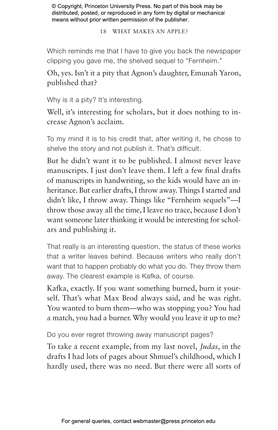18 WHAT MAKES AN APPLE?

Which reminds me that I have to give you back the newspaper clipping you gave me, the shelved sequel to "Fernheim."

Oh, yes. Isn't it a pity that Agnon's daughter, Emunah Yaron, published that?

Why is it a pity? It's interesting.

Well, it's interesting for scholars, but it does nothing to increase Agnon's acclaim.

To my mind it is to his credit that, after writing it, he chose to shelve the story and not publish it. That's difficult.

But he didn't want it to be published. I almost never leave manuscripts. I just don't leave them. I left a few final drafts of manuscripts in handwriting, so the kids would have an inheritance. But earlier drafts, I throw away. Things I started and didn't like, I throw away. Things like "Fernheim sequels"—I throw those away all the time, I leave no trace, because I don't want someone later thinking it would be interesting for scholars and publishing it.

That really is an interesting question, the status of these works that a writer leaves behind. Because writers who really don't want that to happen probably do what you do. They throw them away. The clearest example is Kafka, of course.

Kafka, exactly. If you want something burned, burn it yourself. That's what Max Brod always said, and he was right. You wanted to burn them—who was stopping you? You had a match, you had a burner. Why would you leave it up to me?

Do you ever regret throwing away manuscript pages?

To take a recent example, from my last novel, *Judas*, in the drafts I had lots of pages about Shmuel's childhood, which I hardly used, there was no need. But there were all sorts of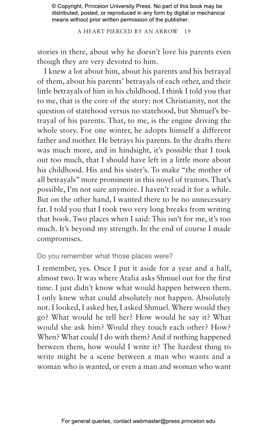A Heart Pierced by an Arrow 19

stories in there, about why he doesn't love his parents even though they are very devoted to him.

I knew a lot about him, about his parents and his betrayal of them, about his parents' betrayals of each other, and their little betrayals of him in his childhood. I think I told you that to me, that is the core of the story: not Christianity, not the question of statehood versus no statehood, but Shmuel's betrayal of his parents. That, to me, is the engine driving the whole story. For one winter, he adopts himself a different father and mother. He betrays his parents. In the drafts there was much more, and in hindsight, it's possible that I took out too much, that I should have left in a little more about his childhood. His and his sister's. To make "the mother of all betrayals" more prominent in this novel of traitors. That's possible, I'm not sure anymore. I haven't read it for a while. But on the other hand, I wanted there to be no unnecessary fat. I told you that I took two very long breaks from writing that book. Two places when I said: This isn't for me, it's too much. It's beyond my strength. In the end of course I made compromises.

### Do you remember what those places were?

I remember, yes. Once I put it aside for a year and a half, almost two. It was where Atalia asks Shmuel out for the first time. I just didn't know what would happen between them. I only knew what could absolutely not happen. Absolutely not. I looked, I asked her, I asked Shmuel. Where would they go? What would he tell her? How would he say it? What would she ask him? Would they touch each other? How? When? What could I do with them? And if nothing happened between them, how would I write it? The hardest thing to write might be a scene between a man who wants and a woman who is wanted, or even a man and woman who want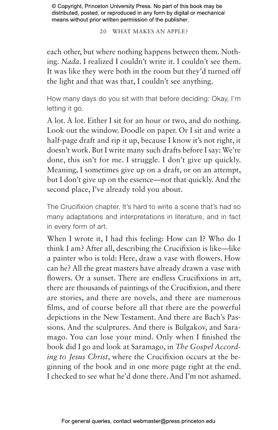20 WHAT MAKES AN APPLE?

each other, but where nothing happens between them. Nothing. *Nada*. I realized I couldn't write it. I couldn't see them. It was like they were both in the room but they'd turned off the light and that was that, I couldn't see anything.

How many days do you sit with that before deciding: Okay, I'm letting it go.

A lot. A lot. Either I sit for an hour or two, and do nothing. Look out the window. Doodle on paper. Or I sit and write a half-page draft and rip it up, because I know it's not right, it doesn't work. But I write many such drafts before I say: We're done, this isn't for me. I struggle. I don't give up quickly. Meaning, I sometimes give up on a draft, or on an attempt, but I don't give up on the essence—not that quickly. And the second place, I've already told you about.

The Crucifixion chapter. It's hard to write a scene that's had so many adaptations and interpretations in literature, and in fact in every form of art.

When I wrote it, I had this feeling: How can I? Who do I think I am? After all, describing the Crucifixion is like—like a painter who is told: Here, draw a vase with flowers. How can he? All the great masters have already drawn a vase with flowers. Or a sunset. There are endless Crucifixions in art, there are thousands of paintings of the Crucifixion, and there are stories, and there are novels, and there are numerous films, and of course before all that there are the powerful depictions in the New Testament. And there are Bach's Passions. And the sculptures. And there is Bulgakov, and Saramago. You can lose your mind. Only when I finished the book did I go and look at Saramago, in *The Gospel According to Jesus Christ*, where the Crucifixion occurs at the beginning of the book and in one more page right at the end. I checked to see what he'd done there. And I'm not ashamed.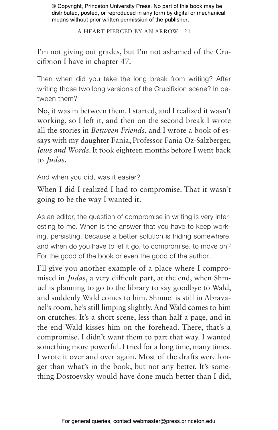A Heart Pierced by an Arrow 21

I'm not giving out grades, but I'm not ashamed of the Crucifixion I have in chapter 47.

Then when did you take the long break from writing? After writing those two long versions of the Crucifixion scene? In between them?

No, it was in between them. I started, and I realized it wasn't working, so I left it, and then on the second break I wrote all the stories in *Between Friends*, and I wrote a book of essays with my daughter Fania, Professor Fania Oz-Salzberger, *Jews and Words*. It took eighteen months before I went back to *Judas*.

And when you did, was it easier?

When I did I realized I had to compromise. That it wasn't going to be the way I wanted it.

As an editor, the question of compromise in writing is very interesting to me. When is the answer that you have to keep working, persisting, because a better solution is hiding somewhere, and when do you have to let it go, to compromise, to move on? For the good of the book or even the good of the author.

I'll give you another example of a place where I compromised in *Judas*, a very difficult part, at the end, when Shmuel is planning to go to the library to say goodbye to Wald, and suddenly Wald comes to him. Shmuel is still in Abravanel's room, he's still limping slightly. And Wald comes to him on crutches. It's a short scene, less than half a page, and in the end Wald kisses him on the forehead. There, that's a compromise. I didn't want them to part that way. I wanted something more powerful. I tried for a long time, many times. I wrote it over and over again. Most of the drafts were longer than what's in the book, but not any better. It's something Dostoevsky would have done much better than I did,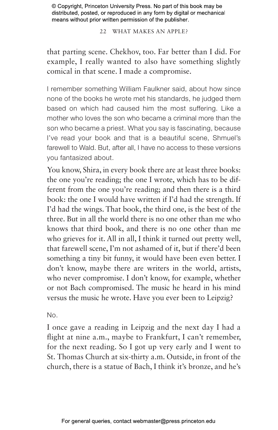22 WHAT MAKES AN APPLE?

that parting scene. Chekhov, too. Far better than I did. For example, I really wanted to also have something slightly comical in that scene. I made a compromise.

I remember something William Faulkner said, about how since none of the books he wrote met his standards, he judged them based on which had caused him the most suffering. Like a mother who loves the son who became a criminal more than the son who became a priest. What you say is fascinating, because I've read your book and that is a beautiful scene, Shmuel's farewell to Wald. But, after all, I have no access to these versions you fantasized about.

You know, Shira, in every book there are at least three books: the one you're reading; the one I wrote, which has to be different from the one you're reading; and then there is a third book: the one I would have written if I'd had the strength. If I'd had the wings. That book, the third one, is the best of the three. But in all the world there is no one other than me who knows that third book, and there is no one other than me who grieves for it. All in all, I think it turned out pretty well, that farewell scene, I'm not ashamed of it, but if there'd been something a tiny bit funny, it would have been even better. I don't know, maybe there are writers in the world, artists, who never compromise. I don't know, for example, whether or not Bach compromised. The music he heard in his mind versus the music he wrote. Have you ever been to Leipzig?

 $N<sub>0</sub>$ 

I once gave a reading in Leipzig and the next day I had a flight at nine a.m., maybe to Frankfurt, I can't remember, for the next reading. So I got up very early and I went to St. Thomas Church at six-thirty a.m. Outside, in front of the church, there is a statue of Bach, I think it's bronze, and he's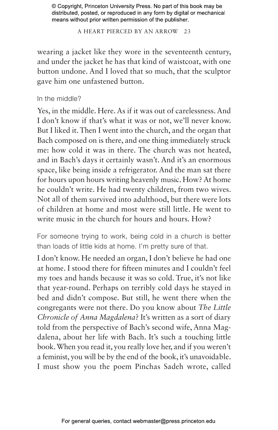A Heart Pierced by an Arrow 23

wearing a jacket like they wore in the seventeenth century, and under the jacket he has that kind of waistcoat, with one button undone. And I loved that so much, that the sculptor gave him one unfastened button.

## In the middle?

Yes, in the middle. Here. As if it was out of carelessness. And I don't know if that's what it was or not, we'll never know. But I liked it. Then I went into the church, and the organ that Bach composed on is there, and one thing immediately struck me: how cold it was in there. The church was not heated, and in Bach's days it certainly wasn't. And it's an enormous space, like being inside a refrigerator. And the man sat there for hours upon hours writing heavenly music. How? At home he couldn't write. He had twenty children, from two wives. Not all of them survived into adulthood, but there were lots of children at home and most were still little. He went to write music in the church for hours and hours. How?

For someone trying to work, being cold in a church is better than loads of little kids at home. I'm pretty sure of that.

I don't know. He needed an organ, I don't believe he had one at home. I stood there for fifteen minutes and I couldn't feel my toes and hands because it was so cold. True, it's not like that year-round. Perhaps on terribly cold days he stayed in bed and didn't compose. But still, he went there when the congregants were not there. Do you know about *The Little Chronicle of Anna Magdalena*? It's written as a sort of diary told from the perspective of Bach's second wife, Anna Magdalena, about her life with Bach. It's such a touching little book. When you read it, you really love her, and if you weren't a feminist, you will be by the end of the book, it's unavoidable. I must show you the poem Pinchas Sadeh wrote, called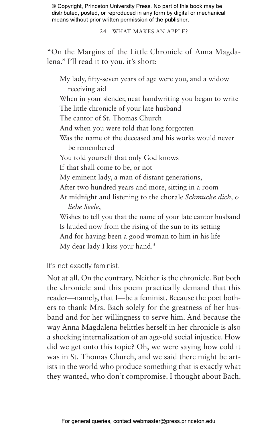24 WHAT MAKES AN APPLE?

"On the Margins of the Little Chronicle of Anna Magdalena." I'll read it to you, it's short:

My lady, fifty-seven years of age were you, and a widow receiving aid When in your slender, neat handwriting you began to write The little chronicle of your late husband The cantor of St. Thomas Church And when you were told that long forgotten Was the name of the deceased and his works would never be remembered You told yourself that only God knows If that shall come to be, or not My eminent lady, a man of distant generations, After two hundred years and more, sitting in a room At midnight and listening to the chorale *Schmücke dich, o liebe Seele*, Wishes to tell you that the name of your late cantor husband Is lauded now from the rising of the sun to its setting

And for having been a good woman to him in his life My dear lady I kiss your hand.3

It's not exactly feminist.

Not at all. On the contrary. Neither is the chronicle. But both the chronicle and this poem practically demand that this reader—namely, that I—be a feminist. Because the poet bothers to thank Mrs. Bach solely for the greatness of her husband and for her willingness to serve him. And because the way Anna Magdalena belittles herself in her chronicle is also a shocking internalization of an age-old social injustice. How did we get onto this topic? Oh, we were saying how cold it was in St. Thomas Church, and we said there might be artists in the world who produce something that is exactly what they wanted, who don't compromise. I thought about Bach.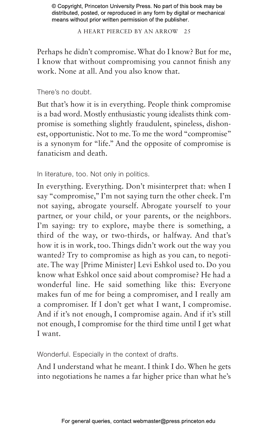A Heart Pierced by an Arrow 25

Perhaps he didn't compromise. What do I know? But for me, I know that without compromising you cannot finish any work. None at all. And you also know that.

There's no doubt.

But that's how it is in everything. People think compromise is a bad word. Mostly enthusiastic young idealists think compromise is something slightly fraudulent, spineless, dishonest, opportunistic. Not to me. To me the word "compromise" is a synonym for "life." And the opposite of compromise is fanaticism and death.

In literature, too. Not only in politics.

In everything. Everything. Don't misinterpret that: when I say "compromise," I'm not saying turn the other cheek. I'm not saying, abrogate yourself. Abrogate yourself to your partner, or your child, or your parents, or the neighbors. I'm saying: try to explore, maybe there is something, a third of the way, or two-thirds, or halfway. And that's how it is in work, too. Things didn't work out the way you wanted? Try to compromise as high as you can, to negotiate. The way [Prime Minister] Levi Eshkol used to. Do you know what Eshkol once said about compromise? He had a wonderful line. He said something like this: Everyone makes fun of me for being a compromiser, and I really am a compromiser. If I don't get what I want, I compromise. And if it's not enough, I compromise again. And if it's still not enough, I compromise for the third time until I get what I want.

Wonderful. Especially in the context of drafts.

And I understand what he meant. I think I do. When he gets into negotiations he names a far higher price than what he's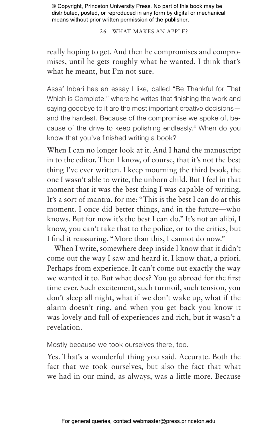26 WHAT MAKES AN APPLE?

really hoping to get. And then he compromises and compromises, until he gets roughly what he wanted. I think that's what he meant, but I'm not sure.

Assaf Inbari has an essay I like, called "Be Thankful for That Which is Complete," where he writes that finishing the work and saying goodbye to it are the most important creative decisions and the hardest. Because of the compromise we spoke of, because of the drive to keep polishing endlessly. 4 When do you know that you've finished writing a book?

When I can no longer look at it. And I hand the manuscript in to the editor. Then I know, of course, that it's not the best thing I've ever written. I keep mourning the third book, the one I wasn't able to write, the unborn child. But I feel in that moment that it was the best thing I was capable of writing. It's a sort of mantra, for me: "This is the best I can do at this moment. I once did better things, and in the future—who knows. But for now it's the best I can do." It's not an alibi, I know, you can't take that to the police, or to the critics, but I find it reassuring. "More than this, I cannot do now."

When I write, somewhere deep inside I know that it didn't come out the way I saw and heard it. I know that, a priori. Perhaps from experience. It can't come out exactly the way we wanted it to. But what does? You go abroad for the first time ever. Such excitement, such turmoil, such tension, you don't sleep all night, what if we don't wake up, what if the alarm doesn't ring, and when you get back you know it was lovely and full of experiences and rich, but it wasn't a revelation.

Mostly because we took ourselves there, too.

Yes. That's a wonderful thing you said. Accurate. Both the fact that we took ourselves, but also the fact that what we had in our mind, as always, was a little more. Because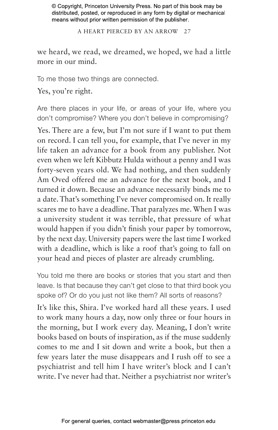A Heart Pierced by an Arrow 27

we heard, we read, we dreamed, we hoped, we had a little more in our mind.

To me those two things are connected.

Yes, you're right.

Are there places in your life, or areas of your life, where you don't compromise? Where you don't believe in compromising?

Yes. There are a few, but I'm not sure if I want to put them on record. I can tell you, for example, that I've never in my life taken an advance for a book from any publisher. Not even when we left Kibbutz Hulda without a penny and I was forty-seven years old. We had nothing, and then suddenly Am Oved offered me an advance for the next book, and I turned it down. Because an advance necessarily binds me to a date. That's something I've never compromised on. It really scares me to have a deadline. That paralyzes me. When I was a university student it was terrible, that pressure of what would happen if you didn't finish your paper by tomorrow, by the next day. University papers were the last time I worked with a deadline, which is like a roof that's going to fall on your head and pieces of plaster are already crumbling.

You told me there are books or stories that you start and then leave. Is that because they can't get close to that third book you spoke of? Or do you just not like them? All sorts of reasons?

It's like this, Shira. I've worked hard all these years. I used to work many hours a day, now only three or four hours in the morning, but I work every day. Meaning, I don't write books based on bouts of inspiration, as if the muse suddenly comes to me and I sit down and write a book, but then a few years later the muse disappears and I rush off to see a psychiatrist and tell him I have writer's block and I can't write. I've never had that. Neither a psychiatrist nor writer's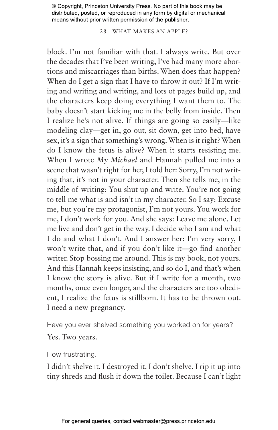28 WHAT MAKES AN APPLE?

block. I'm not familiar with that. I always write. But over the decades that I've been writing, I've had many more abortions and miscarriages than births. When does that happen? When do I get a sign that I have to throw it out? If I'm writing and writing and writing, and lots of pages build up, and the characters keep doing everything I want them to. The baby doesn't start kicking me in the belly from inside. Then I realize he's not alive. If things are going so easily—like modeling clay—get in, go out, sit down, get into bed, have sex, it's a sign that something's wrong. When is it right? When do I know the fetus is alive? When it starts resisting me. When I wrote *My Michael* and Hannah pulled me into a scene that wasn't right for her, I told her: Sorry, I'm not writing that, it's not in your character. Then she tells me, in the middle of writing: You shut up and write. You're not going to tell me what is and isn't in my character. So I say: Excuse me, but you're my protagonist, I'm not yours. You work for me, I don't work for you. And she says: Leave me alone. Let me live and don't get in the way. I decide who I am and what I do and what I don't. And I answer her: I'm very sorry, I won't write that, and if you don't like it—go find another writer. Stop bossing me around. This is my book, not yours. And this Hannah keeps insisting, and so do I, and that's when I know the story is alive. But if I write for a month, two months, once even longer, and the characters are too obedient, I realize the fetus is stillborn. It has to be thrown out. I need a new pregnancy.

Have you ever shelved something you worked on for years?

Yes. Two years.

How frustrating.

I didn't shelve it. I destroyed it. I don't shelve. I rip it up into tiny shreds and flush it down the toilet. Because I can't light